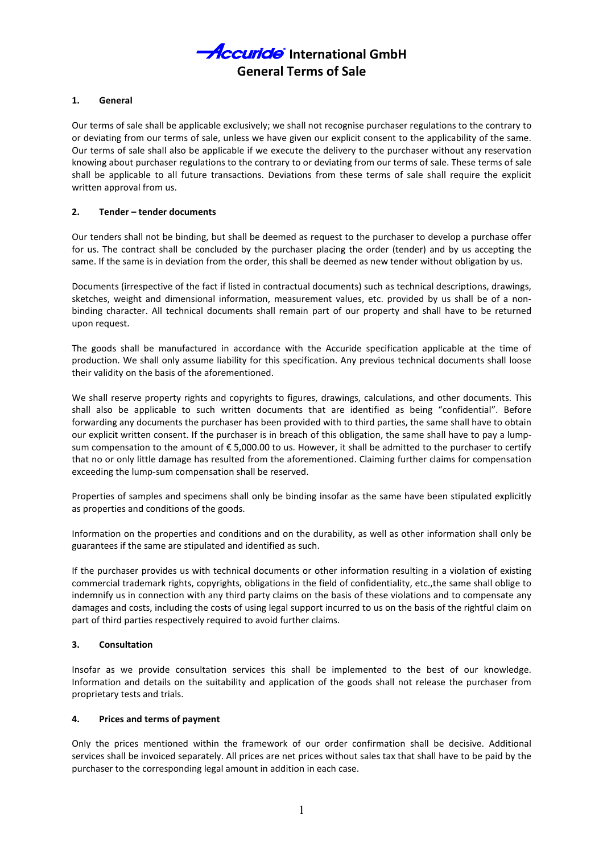## 1. General

Our terms of sale shall be applicable exclusively; we shall not recognise purchaser regulations to the contrary to or deviating from our terms of sale, unless we have given our explicit consent to the applicability of the same. Our terms of sale shall also be applicable if we execute the delivery to the purchaser without any reservation knowing about purchaser regulations to the contrary to or deviating from our terms of sale. These terms of sale shall be applicable to all future transactions. Deviations from these terms of sale shall require the explicit written approval from us.

## 2. Tender – tender documents

Our tenders shall not be binding, but shall be deemed as request to the purchaser to develop a purchase offer for us. The contract shall be concluded by the purchaser placing the order (tender) and by us accepting the same. If the same is in deviation from the order, this shall be deemed as new tender without obligation by us.

Documents (irrespective of the fact if listed in contractual documents) such as technical descriptions, drawings, sketches, weight and dimensional information, measurement values, etc. provided by us shall be of a nonbinding character. All technical documents shall remain part of our property and shall have to be returned upon request.

The goods shall be manufactured in accordance with the Accuride specification applicable at the time of production. We shall only assume liability for this specification. Any previous technical documents shall loose their validity on the basis of the aforementioned.

We shall reserve property rights and copyrights to figures, drawings, calculations, and other documents. This shall also be applicable to such written documents that are identified as being "confidential". Before forwarding any documents the purchaser has been provided with to third parties, the same shall have to obtain our explicit written consent. If the purchaser is in breach of this obligation, the same shall have to pay a lumpsum compensation to the amount of € 5,000.00 to us. However, it shall be admitted to the purchaser to certify that no or only little damage has resulted from the aforementioned. Claiming further claims for compensation exceeding the lump-sum compensation shall be reserved.

Properties of samples and specimens shall only be binding insofar as the same have been stipulated explicitly as properties and conditions of the goods.

Information on the properties and conditions and on the durability, as well as other information shall only be guarantees if the same are stipulated and identified as such.

If the purchaser provides us with technical documents or other information resulting in a violation of existing commercial trademark rights, copyrights, obligations in the field of confidentiality, etc.,the same shall oblige to indemnify us in connection with any third party claims on the basis of these violations and to compensate any damages and costs, including the costs of using legal support incurred to us on the basis of the rightful claim on part of third parties respectively required to avoid further claims.

## 3. Consultation

Insofar as we provide consultation services this shall be implemented to the best of our knowledge. Information and details on the suitability and application of the goods shall not release the purchaser from proprietary tests and trials.

# 4. Prices and terms of payment

Only the prices mentioned within the framework of our order confirmation shall be decisive. Additional services shall be invoiced separately. All prices are net prices without sales tax that shall have to be paid by the purchaser to the corresponding legal amount in addition in each case.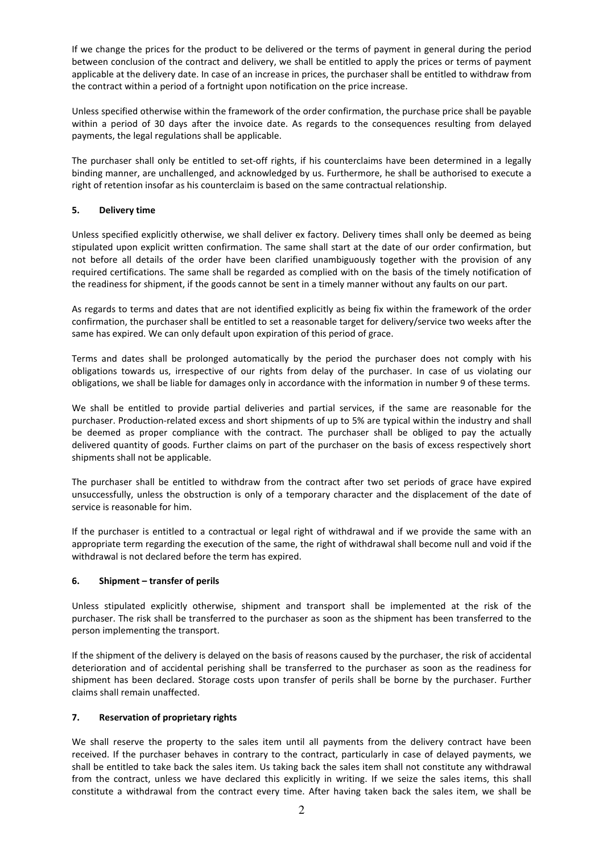If we change the prices for the product to be delivered or the terms of payment in general during the period between conclusion of the contract and delivery, we shall be entitled to apply the prices or terms of payment applicable at the delivery date. In case of an increase in prices, the purchaser shall be entitled to withdraw from the contract within a period of a fortnight upon notification on the price increase.

Unless specified otherwise within the framework of the order confirmation, the purchase price shall be payable within a period of 30 days after the invoice date. As regards to the consequences resulting from delayed payments, the legal regulations shall be applicable.

The purchaser shall only be entitled to set-off rights, if his counterclaims have been determined in a legally binding manner, are unchallenged, and acknowledged by us. Furthermore, he shall be authorised to execute a right of retention insofar as his counterclaim is based on the same contractual relationship.

# 5. Delivery time

Unless specified explicitly otherwise, we shall deliver ex factory. Delivery times shall only be deemed as being stipulated upon explicit written confirmation. The same shall start at the date of our order confirmation, but not before all details of the order have been clarified unambiguously together with the provision of any required certifications. The same shall be regarded as complied with on the basis of the timely notification of the readiness for shipment, if the goods cannot be sent in a timely manner without any faults on our part.

As regards to terms and dates that are not identified explicitly as being fix within the framework of the order confirmation, the purchaser shall be entitled to set a reasonable target for delivery/service two weeks after the same has expired. We can only default upon expiration of this period of grace.

Terms and dates shall be prolonged automatically by the period the purchaser does not comply with his obligations towards us, irrespective of our rights from delay of the purchaser. In case of us violating our obligations, we shall be liable for damages only in accordance with the information in number 9 of these terms.

We shall be entitled to provide partial deliveries and partial services, if the same are reasonable for the purchaser. Production-related excess and short shipments of up to 5% are typical within the industry and shall be deemed as proper compliance with the contract. The purchaser shall be obliged to pay the actually delivered quantity of goods. Further claims on part of the purchaser on the basis of excess respectively short shipments shall not be applicable.

The purchaser shall be entitled to withdraw from the contract after two set periods of grace have expired unsuccessfully, unless the obstruction is only of a temporary character and the displacement of the date of service is reasonable for him.

If the purchaser is entitled to a contractual or legal right of withdrawal and if we provide the same with an appropriate term regarding the execution of the same, the right of withdrawal shall become null and void if the withdrawal is not declared before the term has expired.

# 6. Shipment – transfer of perils

Unless stipulated explicitly otherwise, shipment and transport shall be implemented at the risk of the purchaser. The risk shall be transferred to the purchaser as soon as the shipment has been transferred to the person implementing the transport.

If the shipment of the delivery is delayed on the basis of reasons caused by the purchaser, the risk of accidental deterioration and of accidental perishing shall be transferred to the purchaser as soon as the readiness for shipment has been declared. Storage costs upon transfer of perils shall be borne by the purchaser. Further claims shall remain unaffected.

# 7. Reservation of proprietary rights

We shall reserve the property to the sales item until all payments from the delivery contract have been received. If the purchaser behaves in contrary to the contract, particularly in case of delayed payments, we shall be entitled to take back the sales item. Us taking back the sales item shall not constitute any withdrawal from the contract, unless we have declared this explicitly in writing. If we seize the sales items, this shall constitute a withdrawal from the contract every time. After having taken back the sales item, we shall be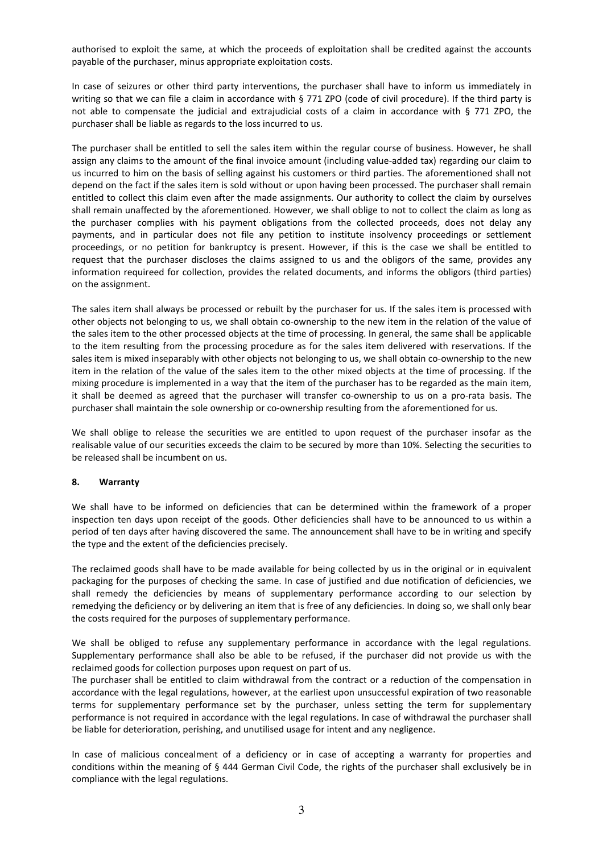authorised to exploit the same, at which the proceeds of exploitation shall be credited against the accounts payable of the purchaser, minus appropriate exploitation costs.

In case of seizures or other third party interventions, the purchaser shall have to inform us immediately in writing so that we can file a claim in accordance with § 771 ZPO (code of civil procedure). If the third party is not able to compensate the judicial and extrajudicial costs of a claim in accordance with § 771 ZPO, the purchaser shall be liable as regards to the loss incurred to us.

The purchaser shall be entitled to sell the sales item within the regular course of business. However, he shall assign any claims to the amount of the final invoice amount (including value-added tax) regarding our claim to us incurred to him on the basis of selling against his customers or third parties. The aforementioned shall not depend on the fact if the sales item is sold without or upon having been processed. The purchaser shall remain entitled to collect this claim even after the made assignments. Our authority to collect the claim by ourselves shall remain unaffected by the aforementioned. However, we shall oblige to not to collect the claim as long as the purchaser complies with his payment obligations from the collected proceeds, does not delay any payments, and in particular does not file any petition to institute insolvency proceedings or settlement proceedings, or no petition for bankruptcy is present. However, if this is the case we shall be entitled to request that the purchaser discloses the claims assigned to us and the obligors of the same, provides any information requireed for collection, provides the related documents, and informs the obligors (third parties) on the assignment.

The sales item shall always be processed or rebuilt by the purchaser for us. If the sales item is processed with other objects not belonging to us, we shall obtain co-ownership to the new item in the relation of the value of the sales item to the other processed objects at the time of processing. In general, the same shall be applicable to the item resulting from the processing procedure as for the sales item delivered with reservations. If the sales item is mixed inseparably with other objects not belonging to us, we shall obtain co-ownership to the new item in the relation of the value of the sales item to the other mixed objects at the time of processing. If the mixing procedure is implemented in a way that the item of the purchaser has to be regarded as the main item, it shall be deemed as agreed that the purchaser will transfer co-ownership to us on a pro-rata basis. The purchaser shall maintain the sole ownership or co-ownership resulting from the aforementioned for us.

We shall oblige to release the securities we are entitled to upon request of the purchaser insofar as the realisable value of our securities exceeds the claim to be secured by more than 10%. Selecting the securities to be released shall be incumbent on us.

## 8. Warranty

We shall have to be informed on deficiencies that can be determined within the framework of a proper inspection ten days upon receipt of the goods. Other deficiencies shall have to be announced to us within a period of ten days after having discovered the same. The announcement shall have to be in writing and specify the type and the extent of the deficiencies precisely.

The reclaimed goods shall have to be made available for being collected by us in the original or in equivalent packaging for the purposes of checking the same. In case of justified and due notification of deficiencies, we shall remedy the deficiencies by means of supplementary performance according to our selection by remedying the deficiency or by delivering an item that is free of any deficiencies. In doing so, we shall only bear the costs required for the purposes of supplementary performance.

We shall be obliged to refuse any supplementary performance in accordance with the legal regulations. Supplementary performance shall also be able to be refused, if the purchaser did not provide us with the reclaimed goods for collection purposes upon request on part of us.

The purchaser shall be entitled to claim withdrawal from the contract or a reduction of the compensation in accordance with the legal regulations, however, at the earliest upon unsuccessful expiration of two reasonable terms for supplementary performance set by the purchaser, unless setting the term for supplementary performance is not required in accordance with the legal regulations. In case of withdrawal the purchaser shall be liable for deterioration, perishing, and unutilised usage for intent and any negligence.

In case of malicious concealment of a deficiency or in case of accepting a warranty for properties and conditions within the meaning of § 444 German Civil Code, the rights of the purchaser shall exclusively be in compliance with the legal regulations.